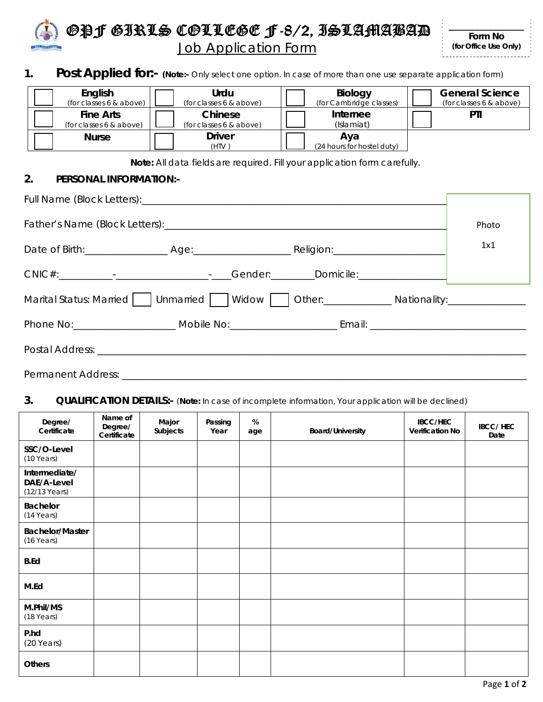

# 1. **Post Applied for:-** (Note:- Only select one option. In case of more than one use separate application form)

| English<br>(for classes 6 & above)          | Urdu<br>(for classes 6 & above)    | Biology<br>(for Cambridge classes) | <b>General Science</b><br>(for classes 6 & above) |
|---------------------------------------------|------------------------------------|------------------------------------|---------------------------------------------------|
| <b>Fine Arts</b><br>(for classes 6 & above) | Chinese<br>(for classes 6 & above) | Internee<br>(Islamiat)             | PTI                                               |
| <b>Nurse</b>                                | <b>Driver</b><br>(HTV)             | Aya<br>(24 hours for hostel duty)  |                                                   |

**Note:** All data fields are required. Fill your application form carefully.

#### **2. PERSONAL INFORMATION:-**

|                                                                                                      |  | Photo |
|------------------------------------------------------------------------------------------------------|--|-------|
|                                                                                                      |  | 1x1   |
|                                                                                                      |  |       |
| Marital Status: Married     Unmarried     Widow     Other: _______________ Nationality: ____________ |  |       |
|                                                                                                      |  |       |
|                                                                                                      |  |       |
|                                                                                                      |  |       |

#### **3. QUALIFICATION DETAILS:-** (**Note:** In case of incomplete information, Your application will be declined)

| Degree/<br>Certificate                        | Name of<br>Degree/<br>Certificate | Major<br>Subjects | Passing<br>Year | %<br>age | <b>Board/University</b> | <b>IBCC/HEC</b><br>Verification No | <b>IBCC/HEC</b><br>Date |
|-----------------------------------------------|-----------------------------------|-------------------|-----------------|----------|-------------------------|------------------------------------|-------------------------|
| SSC/O-Level<br>$(10$ Years)                   |                                   |                   |                 |          |                         |                                    |                         |
| Intermediate/<br>DAE/A-Level<br>(12/13 Years) |                                   |                   |                 |          |                         |                                    |                         |
| Bachelor<br>$(14$ Years)                      |                                   |                   |                 |          |                         |                                    |                         |
| <b>Bachelor/Master</b><br>(16 Years)          |                                   |                   |                 |          |                         |                                    |                         |
| <b>B.Ed</b>                                   |                                   |                   |                 |          |                         |                                    |                         |
| M.Ed                                          |                                   |                   |                 |          |                         |                                    |                         |
| M.Phil/MS<br>(18 Years)                       |                                   |                   |                 |          |                         |                                    |                         |
| P.hd<br>$(20$ Years)                          |                                   |                   |                 |          |                         |                                    |                         |
| <b>Others</b>                                 |                                   |                   |                 |          |                         |                                    |                         |